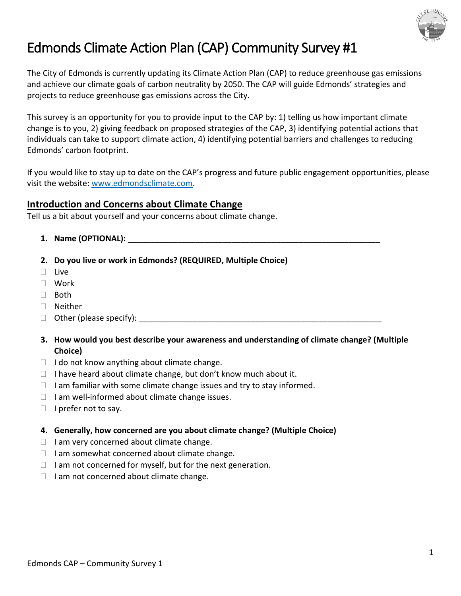

# Edmonds Climate Action Plan (CAP) Community Survey #1

The City of Edmonds is currently updating its Climate Action Plan (CAP) to reduce greenhouse gas emissions and achieve our climate goals of carbon neutrality by 2050. The CAP will guide Edmonds' strategies and projects to reduce greenhouse gas emissions across the City.

This survey is an opportunity for you to provide input to the CAP by: 1) telling us how important climate change is to you, 2) giving feedback on proposed strategies of the CAP, 3) identifying potential actions that individuals can take to support climate action, 4) identifying potential barriers and challenges to reducing Edmonds' carbon footprint.

If you would like to stay up to date on the CAP's progress and future public engagement opportunities, please visit the website[: www.edmondsclimate.com.](http://www.edmondsclimate.com/)

## **Introduction and Concerns about Climate Change**

Tell us a bit about yourself and your concerns about climate change.

- **1. Name (OPTIONAL):** \_\_\_\_\_\_\_\_\_\_\_\_\_\_\_\_\_\_\_\_\_\_\_\_\_\_\_\_\_\_\_\_\_\_\_\_\_\_\_\_\_\_\_\_\_\_\_\_\_\_\_\_\_\_\_\_
- **2. Do you live or work in Edmonds? (REQUIRED, Multiple Choice)**
- $\square$  Live
- Work
- □ Both
- Neither
- $\Box$  Other (please specify):
- **3. How would you best describe your awareness and understanding of climate change? (Multiple Choice)**
- $\Box$  I do not know anything about climate change.
- $\Box$  I have heard about climate change, but don't know much about it.
- $\Box$  I am familiar with some climate change issues and try to stay informed.
- $\Box$  I am well-informed about climate change issues.
- $\Box$  I prefer not to say.
- **4. Generally, how concerned are you about climate change? (Multiple Choice)**
- $\Box$  I am very concerned about climate change.
- $\Box$  I am somewhat concerned about climate change.
- $\Box$  I am not concerned for myself, but for the next generation.
- $\Box$  I am not concerned about climate change.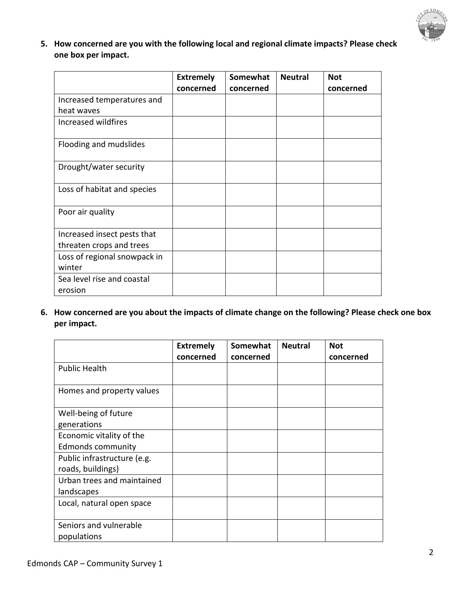

**5. How concerned are you with the following local and regional climate impacts? Please check one box per impact.**

|                              | <b>Extremely</b><br>concerned | Somewhat<br>concerned | <b>Neutral</b> | <b>Not</b><br>concerned |
|------------------------------|-------------------------------|-----------------------|----------------|-------------------------|
| Increased temperatures and   |                               |                       |                |                         |
| heat waves                   |                               |                       |                |                         |
| Increased wildfires          |                               |                       |                |                         |
| Flooding and mudslides       |                               |                       |                |                         |
| Drought/water security       |                               |                       |                |                         |
| Loss of habitat and species  |                               |                       |                |                         |
| Poor air quality             |                               |                       |                |                         |
| Increased insect pests that  |                               |                       |                |                         |
| threaten crops and trees     |                               |                       |                |                         |
| Loss of regional snowpack in |                               |                       |                |                         |
| winter                       |                               |                       |                |                         |
| Sea level rise and coastal   |                               |                       |                |                         |
| erosion                      |                               |                       |                |                         |

**6. How concerned are you about the impacts of climate change on the following? Please check one box per impact.**

|                             | <b>Extremely</b> | Somewhat  | <b>Neutral</b> | <b>Not</b> |
|-----------------------------|------------------|-----------|----------------|------------|
|                             | concerned        | concerned |                | concerned  |
| <b>Public Health</b>        |                  |           |                |            |
|                             |                  |           |                |            |
| Homes and property values   |                  |           |                |            |
|                             |                  |           |                |            |
| Well-being of future        |                  |           |                |            |
| generations                 |                  |           |                |            |
| Economic vitality of the    |                  |           |                |            |
| <b>Edmonds community</b>    |                  |           |                |            |
| Public infrastructure (e.g. |                  |           |                |            |
| roads, buildings)           |                  |           |                |            |
| Urban trees and maintained  |                  |           |                |            |
| landscapes                  |                  |           |                |            |
| Local, natural open space   |                  |           |                |            |
|                             |                  |           |                |            |
| Seniors and vulnerable      |                  |           |                |            |
| populations                 |                  |           |                |            |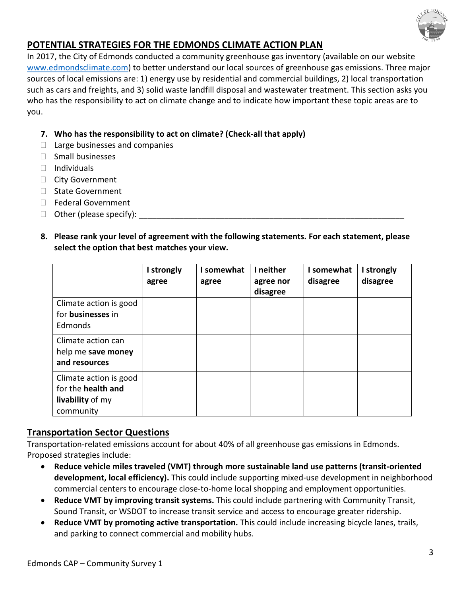

## **POTENTIAL STRATEGIES FOR THE EDMONDS CLIMATE ACTION PLAN**

In 2017, the City of Edmonds conducted a community greenhouse gas inventory (available on our website [www.edmondsclimate.com\)](http://www.edmondsclimate.com/) to better understand our local sources of greenhouse gas emissions. Three major sources of local emissions are: 1) energy use by residential and commercial buildings, 2) local transportation such as cars and freights, and 3) solid waste landfill disposal and wastewater treatment. This section asks you who has the responsibility to act on climate change and to indicate how important these topic areas are to you.

#### **7. Who has the responsibility to act on climate? (Check-all that apply)**

- $\Box$  Large businesses and companies
- $\Box$  Small businesses
- $\Box$  Individuals
- □ City Government
- □ State Government
- □ Federal Government
- $\Box$  Other (please specify):
- **8. Please rank your level of agreement with the following statements. For each statement, please select the option that best matches your view.**

|                                                                                      | I strongly<br>agree | I somewhat<br>agree | I neither<br>agree nor<br>disagree | somewhat<br>disagree | I strongly<br>disagree |
|--------------------------------------------------------------------------------------|---------------------|---------------------|------------------------------------|----------------------|------------------------|
| Climate action is good<br>for <b>businesses</b> in<br>Edmonds                        |                     |                     |                                    |                      |                        |
| Climate action can<br>help me save money<br>and resources                            |                     |                     |                                    |                      |                        |
| Climate action is good<br>for the <b>health</b> and<br>livability of my<br>community |                     |                     |                                    |                      |                        |

### **Transportation Sector Questions**

Transportation-related emissions account for about 40% of all greenhouse gas emissions in Edmonds. Proposed strategies include:

- **Reduce vehicle miles traveled (VMT) through more sustainable land use patterns (transit-oriented development, local efficiency).** This could include supporting mixed-use development in neighborhood commercial centers to encourage close-to-home local shopping and employment opportunities.
- **Reduce VMT by improving transit systems.** This could include partnering with Community Transit, Sound Transit, or WSDOT to increase transit service and access to encourage greater ridership.
- **Reduce VMT by promoting active transportation.** This could include increasing bicycle lanes, trails, and parking to connect commercial and mobility hubs.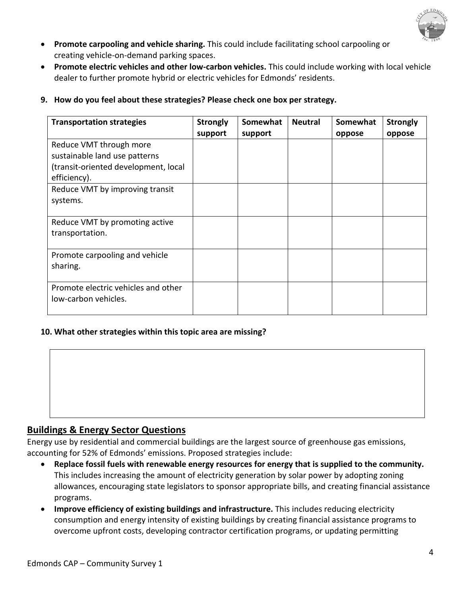

- **Promote carpooling and vehicle sharing.** This could include facilitating school carpooling or creating vehicle-on-demand parking spaces.
- **Promote electric vehicles and other low-carbon vehicles.** This could include working with local vehicle dealer to further promote hybrid or electric vehicles for Edmonds' residents.
- **9. How do you feel about these strategies? Please check one box per strategy.**

| <b>Transportation strategies</b>                                                                                 | <b>Strongly</b><br>support | Somewhat<br>support | <b>Neutral</b> | Somewhat<br>oppose | <b>Strongly</b><br>oppose |
|------------------------------------------------------------------------------------------------------------------|----------------------------|---------------------|----------------|--------------------|---------------------------|
| Reduce VMT through more<br>sustainable land use patterns<br>(transit-oriented development, local<br>efficiency). |                            |                     |                |                    |                           |
| Reduce VMT by improving transit<br>systems.                                                                      |                            |                     |                |                    |                           |
| Reduce VMT by promoting active<br>transportation.                                                                |                            |                     |                |                    |                           |
| Promote carpooling and vehicle<br>sharing.                                                                       |                            |                     |                |                    |                           |
| Promote electric vehicles and other<br>low-carbon vehicles.                                                      |                            |                     |                |                    |                           |

#### **10. What other strategies within this topic area are missing?**



### **Buildings & Energy Sector Questions**

Energy use by residential and commercial buildings are the largest source of greenhouse gas emissions, accounting for 52% of Edmonds' emissions. Proposed strategies include:

- **Replace fossil fuels with renewable energy resources for energy that is supplied to the community.**  This includes increasing the amount of electricity generation by solar power by adopting zoning allowances, encouraging state legislators to sponsor appropriate bills, and creating financial assistance programs.
- **Improve efficiency of existing buildings and infrastructure.** This includes reducing electricity consumption and energy intensity of existing buildings by creating financial assistance programs to overcome upfront costs, developing contractor certification programs, or updating permitting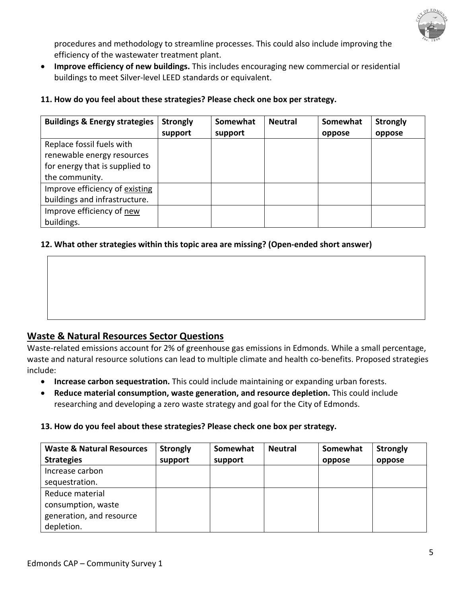

procedures and methodology to streamline processes. This could also include improving the efficiency of the wastewater treatment plant.

• **Improve efficiency of new buildings.** This includes encouraging new commercial or residential buildings to meet Silver-level LEED standards or equivalent.

| <b>Buildings &amp; Energy strategies</b> | <b>Strongly</b><br>support | Somewhat<br>support | <b>Neutral</b> | Somewhat<br>oppose | <b>Strongly</b><br>oppose |
|------------------------------------------|----------------------------|---------------------|----------------|--------------------|---------------------------|
| Replace fossil fuels with                |                            |                     |                |                    |                           |
| renewable energy resources               |                            |                     |                |                    |                           |
| for energy that is supplied to           |                            |                     |                |                    |                           |
| the community.                           |                            |                     |                |                    |                           |
| Improve efficiency of existing           |                            |                     |                |                    |                           |
| buildings and infrastructure.            |                            |                     |                |                    |                           |
| Improve efficiency of new                |                            |                     |                |                    |                           |
| buildings.                               |                            |                     |                |                    |                           |

#### **11. How do you feel about these strategies? Please check one box per strategy.**

#### **12. What other strategies within this topic area are missing? (Open-ended short answer)**

## **Waste & Natural Resources Sector Questions**

Waste-related emissions account for 2% of greenhouse gas emissions in Edmonds. While a small percentage, waste and natural resource solutions can lead to multiple climate and health co-benefits. Proposed strategies include:

- **Increase carbon sequestration.** This could include maintaining or expanding urban forests.
- **Reduce material consumption, waste generation, and resource depletion.** This could include researching and developing a zero waste strategy and goal for the City of Edmonds.

#### **13. How do you feel about these strategies? Please check one box per strategy.**

| <b>Waste &amp; Natural Resources</b> | <b>Strongly</b> | Somewhat | <b>Neutral</b> | Somewhat | <b>Strongly</b> |
|--------------------------------------|-----------------|----------|----------------|----------|-----------------|
| <b>Strategies</b>                    | support         | support  |                | oppose   | oppose          |
| Increase carbon                      |                 |          |                |          |                 |
| sequestration.                       |                 |          |                |          |                 |
| Reduce material                      |                 |          |                |          |                 |
| consumption, waste                   |                 |          |                |          |                 |
| generation, and resource             |                 |          |                |          |                 |
| depletion.                           |                 |          |                |          |                 |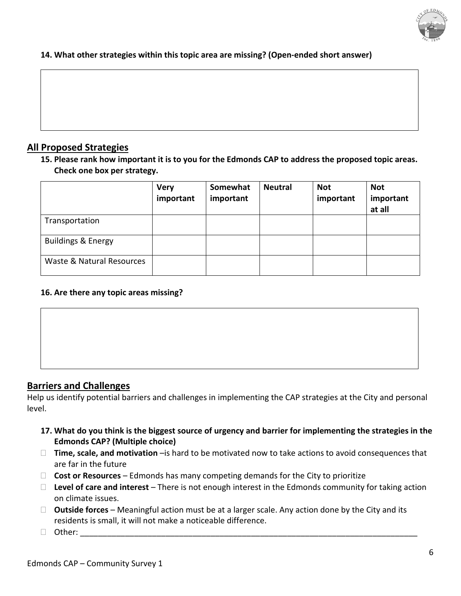

#### **14. What other strategies within this topic area are missing? (Open-ended short answer)**

#### **All Proposed Strategies**

**15. Please rank how important it is to you for the Edmonds CAP to address the proposed topic areas. Check one box per strategy.** 

|                               | <b>Very</b><br>important | Somewhat<br>important | <b>Neutral</b> | <b>Not</b><br>important | <b>Not</b><br>important<br>at all |
|-------------------------------|--------------------------|-----------------------|----------------|-------------------------|-----------------------------------|
| Transportation                |                          |                       |                |                         |                                   |
| <b>Buildings &amp; Energy</b> |                          |                       |                |                         |                                   |
| Waste & Natural Resources     |                          |                       |                |                         |                                   |

#### **16. Are there any topic areas missing?**

## **Barriers and Challenges**

Help us identify potential barriers and challenges in implementing the CAP strategies at the City and personal level.

- **17. What do you think is the biggest source of urgency and barrier for implementing the strategies in the Edmonds CAP? (Multiple choice)**
- **Time, scale, and motivation** –is hard to be motivated now to take actions to avoid consequences that are far in the future
- **Cost or Resources** Edmonds has many competing demands for the City to prioritize
- **Level of care and interest** There is not enough interest in the Edmonds community for taking action on climate issues.
- **Outside forces** Meaningful action must be at a larger scale. Any action done by the City and its residents is small, it will not make a noticeable difference.
- $\Box$  Other: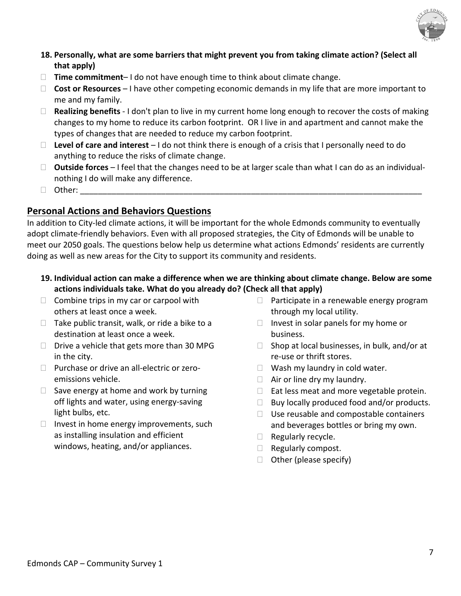

### **18. Personally, what are some barriers that might prevent you from taking climate action? (Select all that apply)**

- **Time commitment** I do not have enough time to think about climate change.
- □ **Cost or Resources** I have other competing economic demands in my life that are more important to me and my family.
- **Realizing benefits** I don't plan to live in my current home long enough to recover the costs of making changes to my home to reduce its carbon footprint. OR I live in and apartment and cannot make the types of changes that are needed to reduce my carbon footprint.
- **Level of care and interest** I do not think there is enough of a crisis that I personally need to do anything to reduce the risks of climate change.
- **Outside forces** I feel that the changes need to be at larger scale than what I can do as an individualnothing I do will make any difference.
- Other: \_\_\_\_\_\_\_\_\_\_\_\_\_\_\_\_\_\_\_\_\_\_\_\_\_\_\_\_\_\_\_\_\_\_\_\_\_\_\_\_\_\_\_\_\_\_\_\_\_\_\_\_\_\_\_\_\_\_\_\_\_\_\_\_\_\_\_\_\_\_\_\_\_\_\_\_

## **Personal Actions and Behaviors Questions**

In addition to City-led climate actions, it will be important for the whole Edmonds community to eventually adopt climate-friendly behaviors. Even with all proposed strategies, the City of Edmonds will be unable to meet our 2050 goals. The questions below help us determine what actions Edmonds' residents are currently doing as well as new areas for the City to support its community and residents.

- **19. Individual action can make a difference when we are thinking about climate change. Below are some actions individuals take. What do you already do? (Check all that apply)**
- $\Box$  Combine trips in my car or carpool with others at least once a week.
- $\Box$  Take public transit, walk, or ride a bike to a destination at least once a week.
- $\Box$  Drive a vehicle that gets more than 30 MPG in the city.
- $\Box$  Purchase or drive an all-electric or zeroemissions vehicle.
- $\Box$  Save energy at home and work by turning off lights and water, using energy-saving light bulbs, etc.
- $\Box$  Invest in home energy improvements, such as installing insulation and efficient windows, heating, and/or appliances.
- $\Box$  Participate in a renewable energy program through my local utility.
- $\Box$  Invest in solar panels for my home or business.
- $\Box$  Shop at local businesses, in bulk, and/or at re-use or thrift stores.
- $\Box$  Wash my laundry in cold water.
- $\Box$  Air or line dry my laundry.
- $\Box$  Eat less meat and more vegetable protein.
- $\Box$  Buy locally produced food and/or products.
- $\Box$  Use reusable and compostable containers and beverages bottles or bring my own.
- $\Box$  Regularly recycle.
- $\Box$  Regularly compost.
- $\Box$  Other (please specify)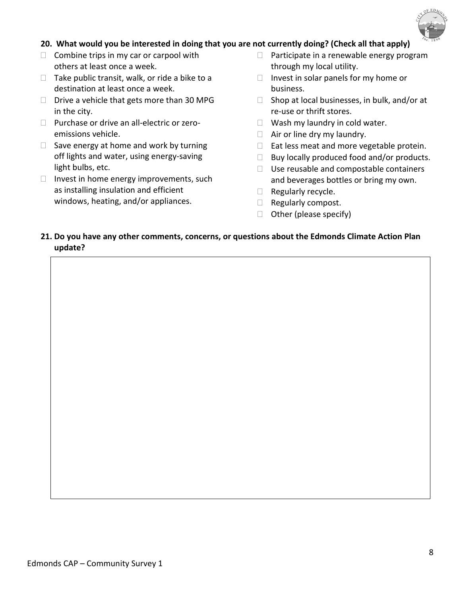

#### **20. What would you be interested in doing that you are not currently doing? (Check all that apply)**

- $\Box$  Combine trips in my car or carpool with others at least once a week.
- $\Box$  Take public transit, walk, or ride a bike to a destination at least once a week.
- $\Box$  Drive a vehicle that gets more than 30 MPG in the city.
- $\Box$  Purchase or drive an all-electric or zeroemissions vehicle.
- $\Box$  Save energy at home and work by turning off lights and water, using energy-saving light bulbs, etc.
- $\Box$  Invest in home energy improvements, such as installing insulation and efficient windows, heating, and/or appliances.
- $\Box$  Participate in a renewable energy program through my local utility.
- $\Box$  Invest in solar panels for my home or business.
- $\Box$  Shop at local businesses, in bulk, and/or at re-use or thrift stores.
- $\Box$  Wash my laundry in cold water.
- $\Box$  Air or line dry my laundry.
- $\Box$  Eat less meat and more vegetable protein.
- $\Box$  Buy locally produced food and/or products.
- $\Box$  Use reusable and compostable containers and beverages bottles or bring my own.
- $\Box$  Regularly recycle.
- $\Box$  Regularly compost.
- $\Box$  Other (please specify)

#### **21. Do you have any other comments, concerns, or questions about the Edmonds Climate Action Plan update?**